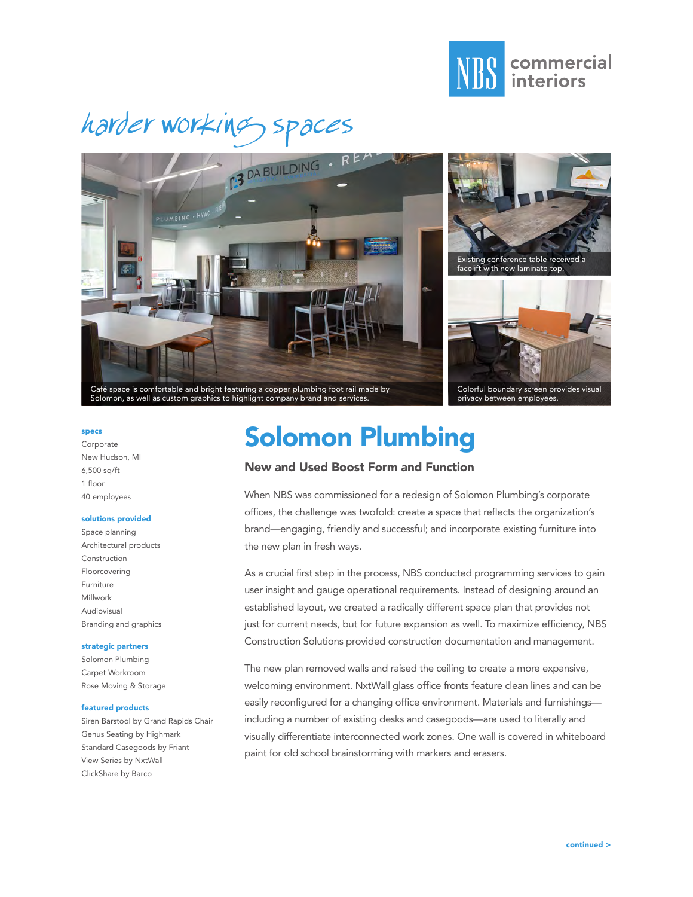







#### specs

Corporate New Hudson, MI  $6.500$  sa/ft 1 floor 40 employees

#### solutions provided

Space planning Architectural products Construction Floorcovering Furniture Millwork Audiovisual Branding and graphics

### strategic partners

Solomon Plumbing Carpet Workroom Rose Moving & Storage

#### featured products

Siren Barstool by Grand Rapids Chair Genus Seating by Highmark Standard Casegoods by Friant View Series by NxtWall ClickShare by Barco

## Solomon Plumbing

### New and Used Boost Form and Function

When NBS was commissioned for a redesign of Solomon Plumbing's corporate offices, the challenge was twofold: create a space that reflects the organization's brand—engaging, friendly and successful; and incorporate existing furniture into the new plan in fresh ways.

As a crucial first step in the process, NBS conducted programming services to gain user insight and gauge operational requirements. Instead of designing around an established layout, we created a radically different space plan that provides not just for current needs, but for future expansion as well. To maximize efficiency, NBS Construction Solutions provided construction documentation and management.

The new plan removed walls and raised the ceiling to create a more expansive, welcoming environment. NxtWall glass office fronts feature clean lines and can be easily reconfigured for a changing office environment. Materials and furnishings including a number of existing desks and casegoods—are used to literally and visually differentiate interconnected work zones. One wall is covered in whiteboard paint for old school brainstorming with markers and erasers.